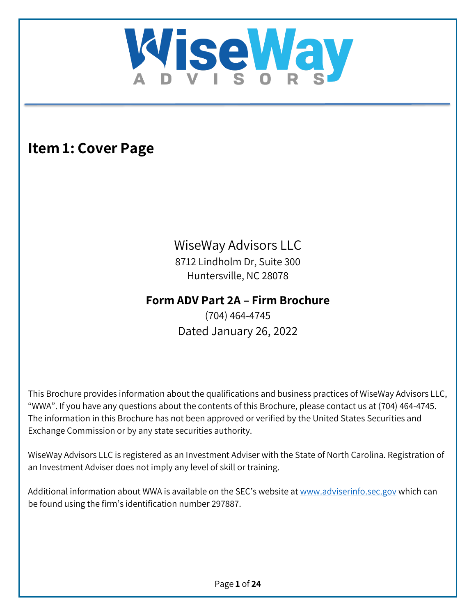

# <span id="page-0-0"></span>**Item 1: Cover Page**

# WiseWay Advisors LLC

8712 Lindholm Dr, Suite 300 Huntersville, NC 28078

# **Form ADV Part 2A – Firm Brochure**

(704) 464-4745 Dated January 26, 2022

This Brochure provides information about the qualifications and business practices of WiseWay Advisors LLC, "WWA". If you have any questions about the contents of this Brochure, please contact us at (704) 464-4745. The information in this Brochure has not been approved or verified by the United States Securities and Exchange Commission or by any state securities authority.

WiseWay Advisors LLC is registered as an Investment Adviser with the State of North Carolina. Registration of an Investment Adviser does not imply any level of skill or training.

Additional information about WWA is available on the SEC's website at [www.adviserinfo.sec.gov](http://www.adviserinfo.sec.gov/) which can be found using the firm's identification number 297887.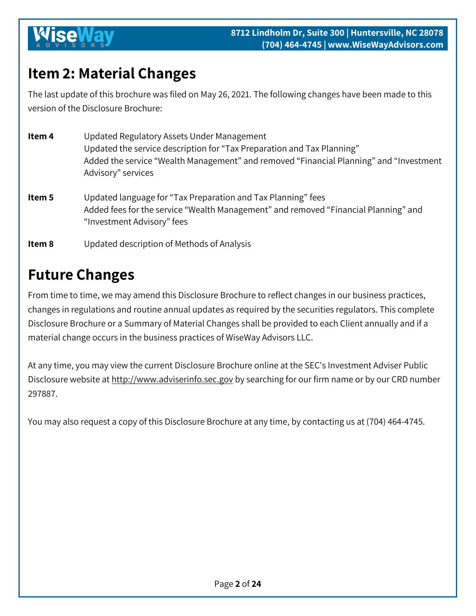# <span id="page-1-0"></span>**Item 2: Material Changes**

The last update of this brochure was filed on May 26, 2021. The following changes have been made to this version of the Disclosure Brochure:

| Item 4 | Updated Regulatory Assets Under Management<br>Updated the service description for "Tax Preparation and Tax Planning"<br>Added the service "Wealth Management" and removed "Financial Planning" and "Investment"<br>Advisory" services |
|--------|---------------------------------------------------------------------------------------------------------------------------------------------------------------------------------------------------------------------------------------|
| Item 5 | Updated language for "Tax Preparation and Tax Planning" fees<br>Added fees for the service "Wealth Management" and removed "Financial Planning" and<br>"Investment Advisory" fees                                                     |
| Item 8 | Updated description of Methods of Analysis                                                                                                                                                                                            |

# **Future Changes**

From time to time, we may amend this Disclosure Brochure to reflect changes in our business practices, changes in regulations and routine annual updates as required by the securities regulators. This complete Disclosure Brochure or a Summary of Material Changes shall be provided to each Client annually and if a material change occurs in the business practices of WiseWay Advisors LLC.

At any time, you may view the current Disclosure Brochure online at the SEC's Investment Adviser Public Disclosure website at [http://www.adviserinfo.sec.gov](http://www.adviserinfo.sec.gov/) by searching for our firm name or by our CRD number 297887.

<span id="page-1-1"></span>You may also request a copy of this Disclosure Brochure at any time, by contacting us at (704) 464-4745.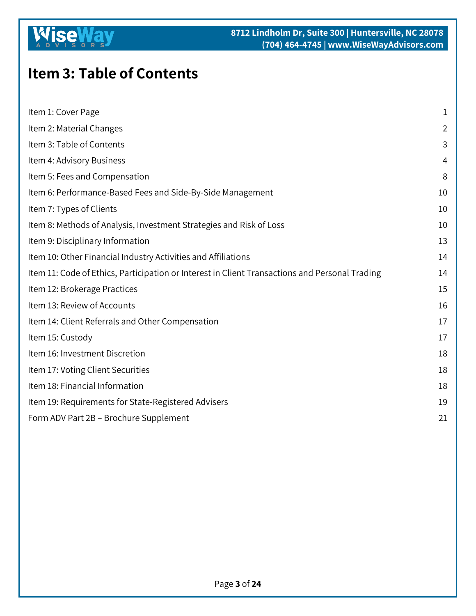### **K ise**

# **Item 3: Table of Contents**

| Item 1: Cover Page                                                                             |                |
|------------------------------------------------------------------------------------------------|----------------|
| Item 2: Material Changes                                                                       | $\overline{2}$ |
| Item 3: Table of Contents                                                                      | 3              |
| Item 4: Advisory Business                                                                      | 4              |
| Item 5: Fees and Compensation                                                                  | 8              |
| Item 6: Performance-Based Fees and Side-By-Side Management                                     | 10             |
| Item 7: Types of Clients                                                                       | 10             |
| Item 8: Methods of Analysis, Investment Strategies and Risk of Loss                            | 10             |
| Item 9: Disciplinary Information                                                               | 13             |
| Item 10: Other Financial Industry Activities and Affiliations                                  | 14             |
| Item 11: Code of Ethics, Participation or Interest in Client Transactions and Personal Trading | 14             |
| Item 12: Brokerage Practices                                                                   | 15             |
| Item 13: Review of Accounts                                                                    | 16             |
| Item 14: Client Referrals and Other Compensation                                               | 17             |
| Item 15: Custody                                                                               | 17             |
| Item 16: Investment Discretion                                                                 | 18             |
| Item 17: Voting Client Securities                                                              | 18             |
| Item 18: Financial Information                                                                 | 18             |
| Item 19: Requirements for State-Registered Advisers                                            |                |
| Form ADV Part 2B - Brochure Supplement                                                         |                |
|                                                                                                |                |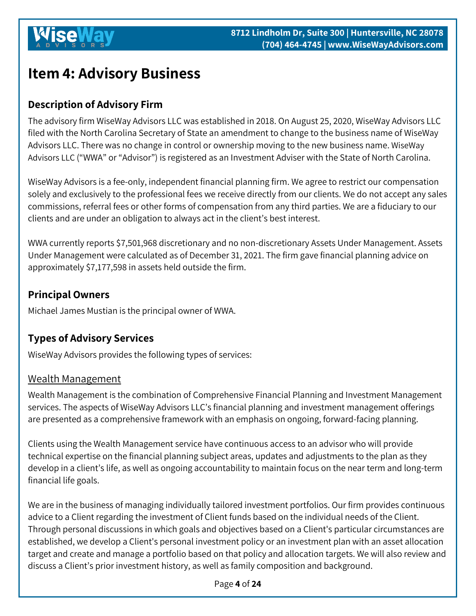# <span id="page-3-0"></span>**Item 4: Advisory Business**

## **Description of Advisory Firm**

The advisory firm WiseWay Advisors LLC was established in 2018. On August 25, 2020, WiseWay Advisors LLC filed with the North Carolina Secretary of State an amendment to change to the business name of WiseWay Advisors LLC. There was no change in control or ownership moving to the new business name. WiseWay Advisors LLC ("WWA" or "Advisor") is registered as an Investment Adviser with the State of North Carolina.

WiseWay Advisors is a fee-only, independent financial planning firm. We agree to restrict our compensation solely and exclusively to the professional fees we receive directly from our clients. We do not accept any sales commissions, referral fees or other forms of compensation from any third parties. We are a fiduciary to our clients and are under an obligation to always act in the client's best interest.

WWA currently reports \$7,501,968 discretionary and no non-discretionary Assets Under Management. Assets Under Management were calculated as of December 31, 2021. The firm gave financial planning advice on approximately \$7,177,598 in assets held outside the firm.

## **Principal Owners**

Michael James Mustian is the principal owner of WWA.

## **Types of Advisory Services**

WiseWay Advisors provides the following types of services:

#### Wealth Management

Wealth Management is the combination of Comprehensive Financial Planning and Investment Management services. The aspects of WiseWay Advisors LLC's financial planning and investment management offerings are presented as a comprehensive framework with an emphasis on ongoing, forward-facing planning.

Clients using the Wealth Management service have continuous access to an advisor who will provide technical expertise on the financial planning subject areas, updates and adjustments to the plan as they develop in a client's life, as well as ongoing accountability to maintain focus on the near term and long-term financial life goals.

We are in the business of managing individually tailored investment portfolios. Our firm provides continuous advice to a Client regarding the investment of Client funds based on the individual needs of the Client. Through personal discussions in which goals and objectives based on a Client's particular circumstances are established, we develop a Client's personal investment policy or an investment plan with an asset allocation target and create and manage a portfolio based on that policy and allocation targets. We will also review and discuss a Client's prior investment history, as well as family composition and background.

Page **4** of **24**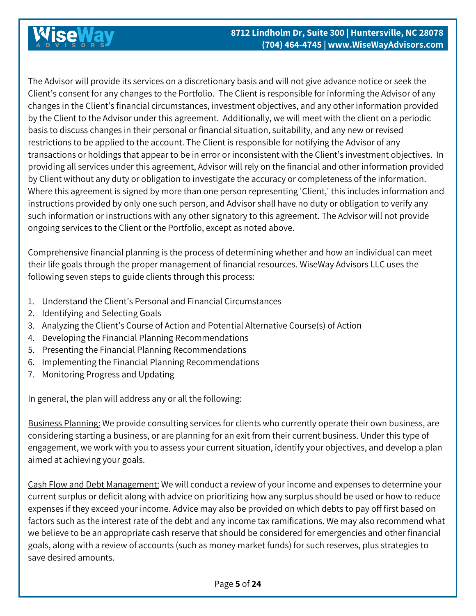The Advisor will provide its services on a discretionary basis and will not give advance notice or seek the Client's consent for any changes to the Portfolio. The Client is responsible for informing the Advisor of any changes in the Client's financial circumstances, investment objectives, and any other information provided by the Client to the Advisor under this agreement. Additionally, we will meet with the client on a periodic basis to discuss changes in their personal or financial situation, suitability, and any new or revised restrictions to be applied to the account. The Client is responsible for notifying the Advisor of any transactions or holdings that appear to be in error or inconsistent with the Client's investment objectives. In providing all services under this agreement, Advisor will rely on the financial and other information provided by Client without any duty or obligation to investigate the accuracy or completeness of the information. Where this agreement is signed by more than one person representing 'Client,' this includes information and instructions provided by only one such person, and Advisor shall have no duty or obligation to verify any such information or instructions with any other signatory to this agreement. The Advisor will not provide ongoing services to the Client or the Portfolio, except as noted above.

Comprehensive financial planning is the process of determining whether and how an individual can meet their life goals through the proper management of financial resources. WiseWay Advisors LLC uses the following seven steps to guide clients through this process:

- 1. Understand the Client's Personal and Financial Circumstances
- 2. Identifying and Selecting Goals
- 3. Analyzing the Client's Course of Action and Potential Alternative Course(s) of Action
- 4. Developing the Financial Planning Recommendations
- 5. Presenting the Financial Planning Recommendations
- 6. Implementing the Financial Planning Recommendations
- 7. Monitoring Progress and Updating

In general, the plan will address any or all the following:

Business Planning: We provide consulting services for clients who currently operate their own business, are considering starting a business, or are planning for an exit from their current business. Under this type of engagement, we work with you to assess your current situation, identify your objectives, and develop a plan aimed at achieving your goals.

Cash Flow and Debt Management: We will conduct a review of your income and expenses to determine your current surplus or deficit along with advice on prioritizing how any surplus should be used or how to reduce expenses if they exceed your income. Advice may also be provided on which debts to pay off first based on factors such as the interest rate of the debt and any income tax ramifications. We may also recommend what we believe to be an appropriate cash reserve that should be considered for emergencies and other financial goals, along with a review of accounts (such as money market funds) for such reserves, plus strategies to save desired amounts.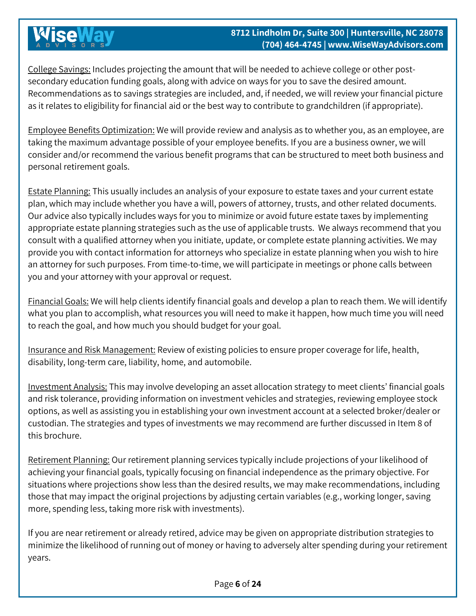College Savings: Includes projecting the amount that will be needed to achieve college or other postsecondary education funding goals, along with advice on ways for you to save the desired amount. Recommendations as to savings strategies are included, and, if needed, we will review your financial picture as it relates to eligibility for financial aid or the best way to contribute to grandchildren (if appropriate).

Employee Benefits Optimization: We will provide review and analysis as to whether you, as an employee, are taking the maximum advantage possible of your employee benefits. If you are a business owner, we will consider and/or recommend the various benefit programs that can be structured to meet both business and personal retirement goals.

Estate Planning: This usually includes an analysis of your exposure to estate taxes and your current estate plan, which may include whether you have a will, powers of attorney, trusts, and other related documents. Our advice also typically includes ways for you to minimize or avoid future estate taxes by implementing appropriate estate planning strategies such as the use of applicable trusts. We always recommend that you consult with a qualified attorney when you initiate, update, or complete estate planning activities. We may provide you with contact information for attorneys who specialize in estate planning when you wish to hire an attorney for such purposes. From time-to-time, we will participate in meetings or phone calls between you and your attorney with your approval or request.

Financial Goals: We will help clients identify financial goals and develop a plan to reach them. We will identify what you plan to accomplish, what resources you will need to make it happen, how much time you will need to reach the goal, and how much you should budget for your goal.

Insurance and Risk Management: Review of existing policies to ensure proper coverage for life, health, disability, long-term care, liability, home, and automobile.

Investment Analysis: This may involve developing an asset allocation strategy to meet clients' financial goals and risk tolerance, providing information on investment vehicles and strategies, reviewing employee stock options, as well as assisting you in establishing your own investment account at a selected broker/dealer or custodian. The strategies and types of investments we may recommend are further discussed in Item 8 of this brochure.

Retirement Planning: Our retirement planning services typically include projections of your likelihood of achieving your financial goals, typically focusing on financial independence as the primary objective. For situations where projections show less than the desired results, we may make recommendations, including those that may impact the original projections by adjusting certain variables (e.g., working longer, saving more, spending less, taking more risk with investments).

If you are near retirement or already retired, advice may be given on appropriate distribution strategies to minimize the likelihood of running out of money or having to adversely alter spending during your retirement years.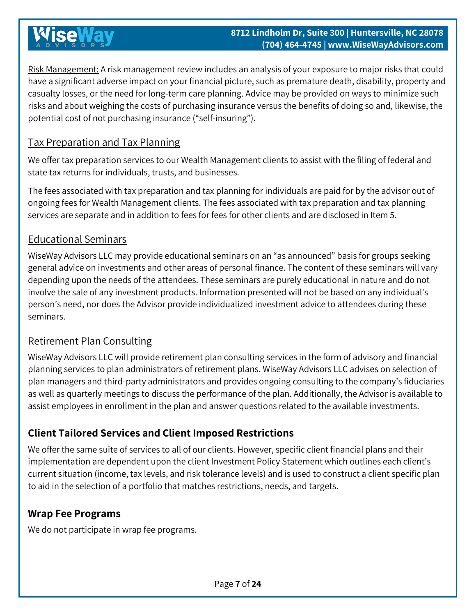Risk Management: A risk management review includes an analysis of your exposure to major risks that could have a significant adverse impact on your financial picture, such as premature death, disability, property and casualty losses, or the need for long‐term care planning. Advice may be provided on ways to minimize such risks and about weighing the costs of purchasing insurance versus the benefits of doing so and, likewise, the potential cost of not purchasing insurance ("self‐insuring").

### Tax Preparation and Tax Planning

We offer tax preparation services to our Wealth Management clients to assist with the filing of federal and state tax returns for individuals, trusts, and businesses.

The fees associated with tax preparation and tax planning for individuals are paid for by the advisor out of ongoing fees for Wealth Management clients. The fees associated with tax preparation and tax planning services are separate and in addition to fees for fees for other clients and are disclosed in Item 5.

### Educational Seminars

WiseWay Advisors LLC may provide educational seminars on an "as announced" basis for groups seeking general advice on investments and other areas of personal finance. The content of these seminars will vary depending upon the needs of the attendees. These seminars are purely educational in nature and do not involve the sale of any investment products. Information presented will not be based on any individual's person's need, nor does the Advisor provide individualized investment advice to attendees during these seminars.

### Retirement Plan Consulting

WiseWay Advisors LLC will provide retirement plan consulting services in the form of advisory and financial planning services to plan administrators of retirement plans. WiseWay Advisors LLC advises on selection of plan managers and third-party administrators and provides ongoing consulting to the company's fiduciaries as well as quarterly meetings to discuss the performance of the plan. Additionally, the Advisor is available to assist employees in enrollment in the plan and answer questions related to the available investments.

## **Client Tailored Services and Client Imposed Restrictions**

We offer the same suite of services to all of our clients. However, specific client financial plans and their implementation are dependent upon the client Investment Policy Statement which outlines each client's current situation (income, tax levels, and risk tolerance levels) and is used to construct a client specific plan to aid in the selection of a portfolio that matches restrictions, needs, and targets.

#### **Wrap Fee Programs**

We do not participate in wrap fee programs.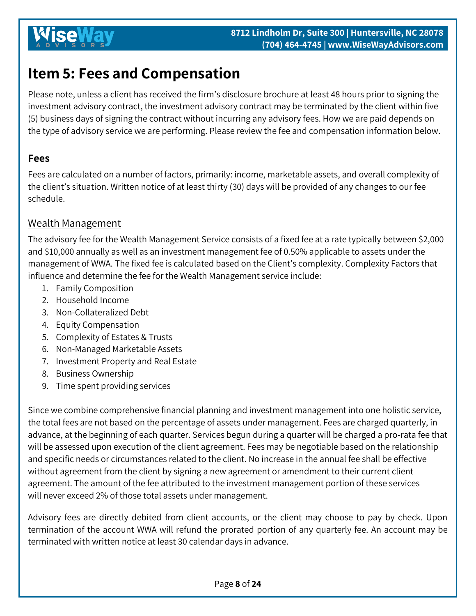# <span id="page-7-0"></span>**Item 5: Fees and Compensation**

Please note, unless a client has received the firm's disclosure brochure at least 48 hours prior to signing the investment advisory contract, the investment advisory contract may be terminated by the client within five (5) business days of signing the contract without incurring any advisory fees. How we are paid depends on the type of advisory service we are performing. Please review the fee and compensation information below.

### **Fees**

Fees are calculated on a number of factors, primarily: income, marketable assets, and overall complexity of the client's situation. Written notice of at least thirty (30) days will be provided of any changes to our fee schedule.

### Wealth Management

The advisory fee for the Wealth Management Service consists of a fixed fee at a rate typically between \$2,000 and \$10,000 annually as well as an investment management fee of 0.50% applicable to assets under the management of WWA. The fixed fee is calculated based on the Client's complexity. Complexity Factors that influence and determine the fee for the Wealth Management service include:

- 1. Family Composition
- 2. Household Income
- 3. Non-Collateralized Debt
- 4. Equity Compensation
- 5. Complexity of Estates & Trusts
- 6. Non-Managed Marketable Assets
- 7. Investment Property and Real Estate
- 8. Business Ownership
- 9. Time spent providing services

Since we combine comprehensive financial planning and investment management into one holistic service, the total fees are not based on the percentage of assets under management. Fees are charged quarterly, in advance, at the beginning of each quarter. Services begun during a quarter will be charged a pro-rata fee that will be assessed upon execution of the client agreement. Fees may be negotiable based on the relationship and specific needs or circumstances related to the client. No increase in the annual fee shall be effective without agreement from the client by signing a new agreement or amendment to their current client agreement. The amount of the fee attributed to the investment management portion of these services will never exceed 2% of those total assets under management.

Advisory fees are directly debited from client accounts, or the client may choose to pay by check. Upon termination of the account WWA will refund the prorated portion of any quarterly fee. An account may be terminated with written notice at least 30 calendar days in advance.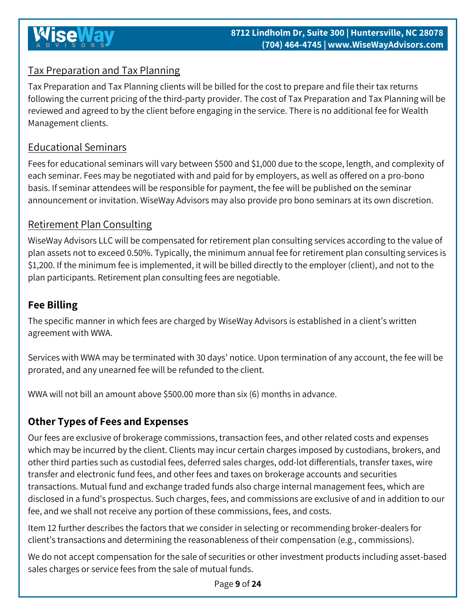## Tax Preparation and Tax Planning

Tax Preparation and Tax Planning clients will be billed for the cost to prepare and file their tax returns following the current pricing of the third-party provider. The cost of Tax Preparation and Tax Planning will be reviewed and agreed to by the client before engaging in the service. There is no additional fee for Wealth Management clients.

## Educational Seminars

Fees for educational seminars will vary between \$500 and \$1,000 due to the scope, length, and complexity of each seminar. Fees may be negotiated with and paid for by employers, as well as offered on a pro-bono basis. If seminar attendees will be responsible for payment, the fee will be published on the seminar announcement or invitation. WiseWay Advisors may also provide pro bono seminars at its own discretion.

## Retirement Plan Consulting

WiseWay Advisors LLC will be compensated for retirement plan consulting services according to the value of plan assets not to exceed 0.50%. Typically, the minimum annual fee for retirement plan consulting services is \$1,200. If the minimum fee is implemented, it will be billed directly to the employer (client), and not to the plan participants. Retirement plan consulting fees are negotiable.

## **Fee Billing**

The specific manner in which fees are charged by WiseWay Advisors is established in a client's written agreement with WWA.

Services with WWA may be terminated with 30 days' notice. Upon termination of any account, the fee will be prorated, and any unearned fee will be refunded to the client.

WWA will not bill an amount above \$500.00 more than six (6) months in advance.

## **Other Types of Fees and Expenses**

Our fees are exclusive of brokerage commissions, transaction fees, and other related costs and expenses which may be incurred by the client. Clients may incur certain charges imposed by custodians, brokers, and other third parties such as custodial fees, deferred sales charges, odd-lot differentials, transfer taxes, wire transfer and electronic fund fees, and other fees and taxes on brokerage accounts and securities transactions. Mutual fund and exchange traded funds also charge internal management fees, which are disclosed in a fund's prospectus. Such charges, fees, and commissions are exclusive of and in addition to our fee, and we shall not receive any portion of these commissions, fees, and costs.

Item 12 further describes the factors that we consider in selecting or recommending broker-dealers for client's transactions and determining the reasonableness of their compensation (e.g., commissions).

We do not accept compensation for the sale of securities or other investment products including asset-based sales charges or service fees from the sale of mutual funds.

Page **9** of **24**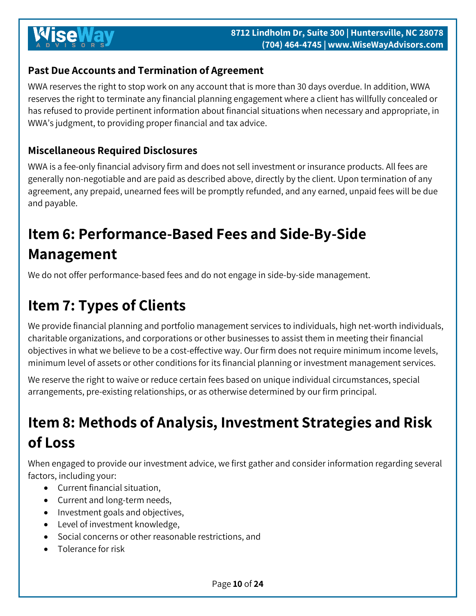## **Past Due Accounts and Termination of Agreement**

WWA reserves the right to stop work on any account that is more than 30 days overdue. In addition, WWA reserves the right to terminate any financial planning engagement where a client has willfully concealed or has refused to provide pertinent information about financial situations when necessary and appropriate, in WWA's judgment, to providing proper financial and tax advice.

### **Miscellaneous Required Disclosures**

WWA is a fee-only financial advisory firm and does not sell investment or insurance products. All fees are generally non-negotiable and are paid as described above, directly by the client. Upon termination of any agreement, any prepaid, unearned fees will be promptly refunded, and any earned, unpaid fees will be due and payable.

# <span id="page-9-0"></span>**Item 6: Performance-Based Fees and Side-By-Side Management**

We do not offer performance-based fees and do not engage in side-by-side management.

# <span id="page-9-1"></span>**Item 7: Types of Clients**

We provide financial planning and portfolio management services to individuals, high net-worth individuals, charitable organizations, and corporations or other businesses to assist them in meeting their financial objectives in what we believe to be a cost-effective way. Our firm does not require minimum income levels, minimum level of assets or other conditions for its financial planning or investment management services.

We reserve the right to waive or reduce certain fees based on unique individual circumstances, special arrangements, pre-existing relationships, or as otherwise determined by our firm principal.

# <span id="page-9-2"></span>**Item 8: Methods of Analysis, Investment Strategies and Risk of Loss**

When engaged to provide our investment advice, we first gather and consider information regarding several factors, including your:

- Current financial situation,
- Current and long-term needs,
- Investment goals and objectives,
- Level of investment knowledge,
- Social concerns or other reasonable restrictions, and
- Tolerance for risk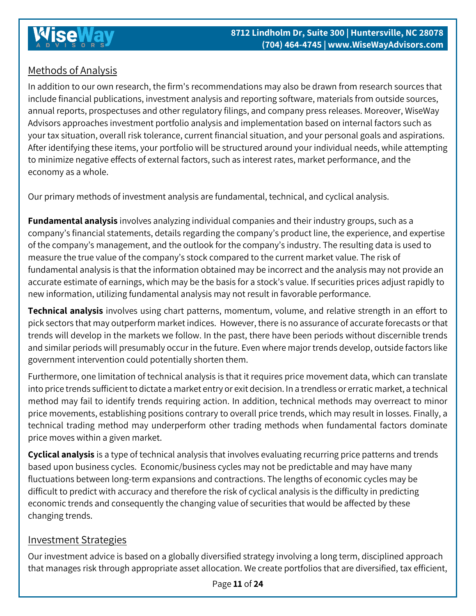## Methods of Analysis

In addition to our own research, the firm's recommendations may also be drawn from research sources that include financial publications, investment analysis and reporting software, materials from outside sources, annual reports, prospectuses and other regulatory filings, and company press releases. Moreover, WiseWay Advisors approaches investment portfolio analysis and implementation based on internal factors such as your tax situation, overall risk tolerance, current financial situation, and your personal goals and aspirations. After identifying these items, your portfolio will be structured around your individual needs, while attempting to minimize negative effects of external factors, such as interest rates, market performance, and the economy as a whole.

Our primary methods of investment analysis are fundamental, technical, and cyclical analysis.

**Fundamental analysis** involves analyzing individual companies and their industry groups, such as a company's financial statements, details regarding the company's product line, the experience, and expertise of the company's management, and the outlook for the company's industry. The resulting data is used to measure the true value of the company's stock compared to the current market value. The risk of fundamental analysis is that the information obtained may be incorrect and the analysis may not provide an accurate estimate of earnings, which may be the basis for a stock's value. If securities prices adjust rapidly to new information, utilizing fundamental analysis may not result in favorable performance.

**Technical analysis** involves using chart patterns, momentum, volume, and relative strength in an effort to pick sectors that may outperform market indices. However, there is no assurance of accurate forecasts or that trends will develop in the markets we follow. In the past, there have been periods without discernible trends and similar periods will presumably occur in the future. Even where major trends develop, outside factors like government intervention could potentially shorten them.

Furthermore, one limitation of technical analysis is that it requires price movement data, which can translate into price trends sufficient to dictate a market entry or exit decision. In a trendless or erratic market, a technical method may fail to identify trends requiring action. In addition, technical methods may overreact to minor price movements, establishing positions contrary to overall price trends, which may result in losses. Finally, a technical trading method may underperform other trading methods when fundamental factors dominate price moves within a given market.

**Cyclical analysis** is a type of technical analysis that involves evaluating recurring price patterns and trends based upon business cycles. Economic/business cycles may not be predictable and may have many fluctuations between long-term expansions and contractions. The lengths of economic cycles may be difficult to predict with accuracy and therefore the risk of cyclical analysis is the difficulty in predicting economic trends and consequently the changing value of securities that would be affected by these changing trends.

#### Investment Strategies

Our investment advice is based on a globally diversified strategy involving a long term, disciplined approach that manages risk through appropriate asset allocation. We create portfolios that are diversified, tax efficient,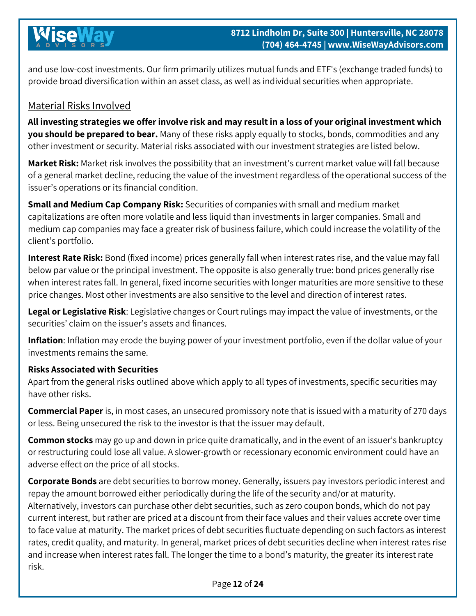and use low-cost investments. Our firm primarily utilizes mutual funds and ETF's (exchange traded funds) to provide broad diversification within an asset class, as well as individual securities when appropriate.

## Material Risks Involved

**All investing strategies we offer involve risk and may result in a loss of your original investment which you should be prepared to bear.** Many of these risks apply equally to stocks, bonds, commodities and any other investment or security. Material risks associated with our investment strategies are listed below.

**Market Risk:** Market risk involves the possibility that an investment's current market value will fall because of a general market decline, reducing the value of the investment regardless of the operational success of the issuer's operations or its financial condition.

**Small and Medium Cap Company Risk:** Securities of companies with small and medium market capitalizations are often more volatile and less liquid than investments in larger companies. Small and medium cap companies may face a greater risk of business failure, which could increase the volatility of the client's portfolio.

**Interest Rate Risk:** Bond (fixed income) prices generally fall when interest rates rise, and the value may fall below par value or the principal investment. The opposite is also generally true: bond prices generally rise when interest rates fall. In general, fixed income securities with longer maturities are more sensitive to these price changes. Most other investments are also sensitive to the level and direction of interest rates.

**Legal or Legislative Risk**: Legislative changes or Court rulings may impact the value of investments, or the securities' claim on the issuer's assets and finances.

**Inflation**: Inflation may erode the buying power of your investment portfolio, even if the dollar value of your investments remains the same.

#### **Risks Associated with Securities**

Apart from the general risks outlined above which apply to all types of investments, specific securities may have other risks.

**Commercial Paper** is, in most cases, an unsecured promissory note that is issued with a maturity of 270 days or less. Being unsecured the risk to the investor is that the issuer may default.

**Common stocks** may go up and down in price quite dramatically, and in the event of an issuer's bankruptcy or restructuring could lose all value. A slower-growth or recessionary economic environment could have an adverse effect on the price of all stocks.

**Corporate Bonds** are debt securities to borrow money. Generally, issuers pay investors periodic interest and repay the amount borrowed either periodically during the life of the security and/or at maturity. Alternatively, investors can purchase other debt securities, such as zero coupon bonds, which do not pay current interest, but rather are priced at a discount from their face values and their values accrete over time to face value at maturity. The market prices of debt securities fluctuate depending on such factors as interest rates, credit quality, and maturity. In general, market prices of debt securities decline when interest rates rise and increase when interest rates fall. The longer the time to a bond's maturity, the greater its interest rate risk.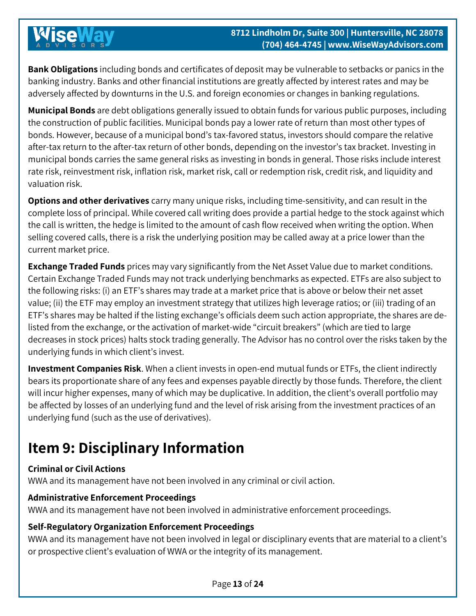**Bank Obligations** including bonds and certificates of deposit may be vulnerable to setbacks or panics in the banking industry. Banks and other financial institutions are greatly affected by interest rates and may be adversely affected by downturns in the U.S. and foreign economies or changes in banking regulations.

**Municipal Bonds** are debt obligations generally issued to obtain funds for various public purposes, including the construction of public facilities. Municipal bonds pay a lower rate of return than most other types of bonds. However, because of a municipal bond's tax-favored status, investors should compare the relative after-tax return to the after-tax return of other bonds, depending on the investor's tax bracket. Investing in municipal bonds carries the same general risks as investing in bonds in general. Those risks include interest rate risk, reinvestment risk, inflation risk, market risk, call or redemption risk, credit risk, and liquidity and valuation risk.

**Options and other derivatives** carry many unique risks, including time-sensitivity, and can result in the complete loss of principal. While covered call writing does provide a partial hedge to the stock against which the call is written, the hedge is limited to the amount of cash flow received when writing the option. When selling covered calls, there is a risk the underlying position may be called away at a price lower than the current market price.

**Exchange Traded Funds** prices may vary significantly from the Net Asset Value due to market conditions. Certain Exchange Traded Funds may not track underlying benchmarks as expected. ETFs are also subject to the following risks: (i) an ETF's shares may trade at a market price that is above or below their net asset value; (ii) the ETF may employ an investment strategy that utilizes high leverage ratios; or (iii) trading of an ETF's shares may be halted if the listing exchange's officials deem such action appropriate, the shares are delisted from the exchange, or the activation of market-wide "circuit breakers" (which are tied to large decreases in stock prices) halts stock trading generally. The Advisor has no control over the risks taken by the underlying funds in which client's invest.

**Investment Companies Risk**. When a client invests in open-end mutual funds or ETFs, the client indirectly bears its proportionate share of any fees and expenses payable directly by those funds. Therefore, the client will incur higher expenses, many of which may be duplicative. In addition, the client's overall portfolio may be affected by losses of an underlying fund and the level of risk arising from the investment practices of an underlying fund (such as the use of derivatives).

# <span id="page-12-0"></span>**Item 9: Disciplinary Information**

#### **Criminal or Civil Actions**

WWA and its management have not been involved in any criminal or civil action.

#### **Administrative Enforcement Proceedings**

WWA and its management have not been involved in administrative enforcement proceedings.

#### **Self-Regulatory Organization Enforcement Proceedings**

WWA and its management have not been involved in legal or disciplinary events that are material to a client's or prospective client's evaluation of WWA or the integrity of its management.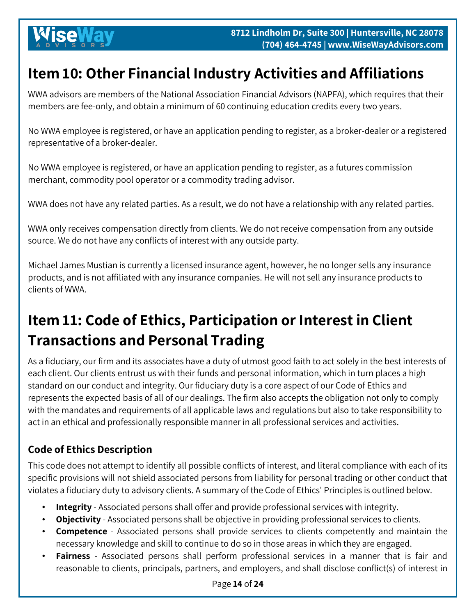# <span id="page-13-0"></span>**Item 10: Other Financial Industry Activities and Affiliations**

WWA advisors are members of the National Association Financial Advisors (NAPFA), which requires that their members are fee-only, and obtain a minimum of 60 continuing education credits every two years.

No WWA employee is registered, or have an application pending to register, as a broker-dealer or a registered representative of a broker-dealer.

No WWA employee is registered, or have an application pending to register, as a futures commission merchant, commodity pool operator or a commodity trading advisor.

WWA does not have any related parties. As a result, we do not have a relationship with any related parties.

WWA only receives compensation directly from clients. We do not receive compensation from any outside source. We do not have any conflicts of interest with any outside party.

Michael James Mustian is currently a licensed insurance agent, however, he no longer sells any insurance products, and is not affiliated with any insurance companies. He will not sell any insurance products to clients of WWA.

# <span id="page-13-1"></span>**Item 11: Code of Ethics, Participation or Interest in Client Transactions and Personal Trading**

As a fiduciary, our firm and its associates have a duty of utmost good faith to act solely in the best interests of each client. Our clients entrust us with their funds and personal information, which in turn places a high standard on our conduct and integrity. Our fiduciary duty is a core aspect of our Code of Ethics and represents the expected basis of all of our dealings. The firm also accepts the obligation not only to comply with the mandates and requirements of all applicable laws and regulations but also to take responsibility to act in an ethical and professionally responsible manner in all professional services and activities.

# **Code of Ethics Description**

This code does not attempt to identify all possible conflicts of interest, and literal compliance with each of its specific provisions will not shield associated persons from liability for personal trading or other conduct that violates a fiduciary duty to advisory clients. A summary of the Code of Ethics' Principles is outlined below.

- **Integrity** Associated persons shall offer and provide professional services with integrity.
- **Objectivity** Associated persons shall be objective in providing professional services to clients.
- **Competence** Associated persons shall provide services to clients competently and maintain the necessary knowledge and skill to continue to do so in those areas in which they are engaged.
- **Fairness** Associated persons shall perform professional services in a manner that is fair and reasonable to clients, principals, partners, and employers, and shall disclose conflict(s) of interest in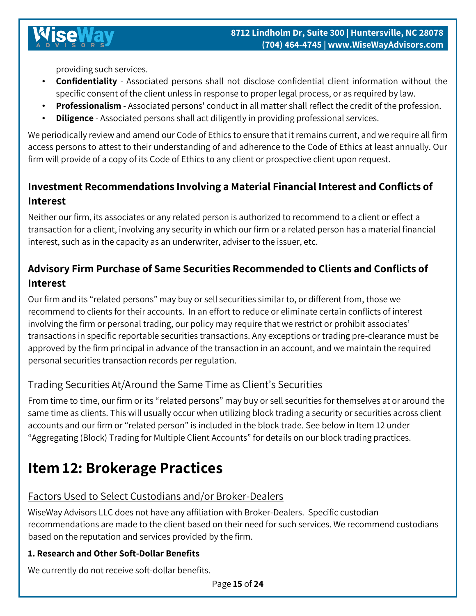providing such services.

- **Confidentiality** Associated persons shall not disclose confidential client information without the specific consent of the client unless in response to proper legal process, or as required by law.
- **Professionalism** Associated persons' conduct in all matter shall reflect the credit of the profession.
- **Diligence**  Associated persons shall act diligently in providing professional services.

We periodically review and amend our Code of Ethics to ensure that it remains current, and we require all firm access persons to attest to their understanding of and adherence to the Code of Ethics at least annually. Our firm will provide of a copy of its Code of Ethics to any client or prospective client upon request.

## **Investment Recommendations Involving a Material Financial Interest and Conflicts of Interest**

Neither our firm, its associates or any related person is authorized to recommend to a client or effect a transaction for a client, involving any security in which our firm or a related person has a material financial interest, such as in the capacity as an underwriter, adviser to the issuer, etc.

# **Advisory Firm Purchase of Same Securities Recommended to Clients and Conflicts of Interest**

Our firm and its "related persons" may buy or sell securities similar to, or different from, those we recommend to clients for their accounts. In an effort to reduce or eliminate certain conflicts of interest involving the firm or personal trading, our policy may require that we restrict or prohibit associates' transactions in specific reportable securities transactions. Any exceptions or trading pre-clearance must be approved by the firm principal in advance of the transaction in an account, and we maintain the required personal securities transaction records per regulation.

#### Trading Securities At/Around the Same Time as Client's Securities

From time to time, our firm or its "related persons" may buy or sell securities for themselves at or around the same time as clients. This will usually occur when utilizing block trading a security or securities across client accounts and our firm or "related person" is included in the block trade. See below in Item 12 under "Aggregating (Block) Trading for Multiple Client Accounts" for details on our block trading practices.

# <span id="page-14-0"></span>**Item 12: Brokerage Practices**

#### Factors Used to Select Custodians and/or Broker-Dealers

WiseWay Advisors LLC does not have any affiliation with Broker-Dealers. Specific custodian recommendations are made to the client based on their need for such services. We recommend custodians based on the reputation and services provided by the firm.

#### **1. Research and Other Soft-Dollar Benefits**

We currently do not receive soft-dollar benefits.

Page **15** of **24**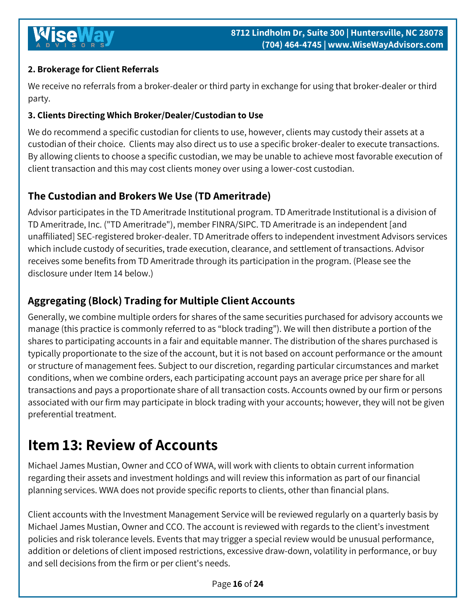### **2. Brokerage for Client Referrals**

We receive no referrals from a broker-dealer or third party in exchange for using that broker-dealer or third party.

#### **3. Clients Directing Which Broker/Dealer/Custodian to Use**

We do recommend a specific custodian for clients to use, however, clients may custody their assets at a custodian of their choice. Clients may also direct us to use a specific broker-dealer to execute transactions. By allowing clients to choose a specific custodian, we may be unable to achieve most favorable execution of client transaction and this may cost clients money over using a lower-cost custodian.

## **The Custodian and Brokers We Use (TD Ameritrade)**

Advisor participates in the TD Ameritrade Institutional program. TD Ameritrade Institutional is a division of TD Ameritrade, Inc. ("TD Ameritrade"), member FINRA/SIPC. TD Ameritrade is an independent [and unaffiliated] SEC-registered broker-dealer. TD Ameritrade offers to independent investment Advisors services which include custody of securities, trade execution, clearance, and settlement of transactions. Advisor receives some benefits from TD Ameritrade through its participation in the program. (Please see the disclosure under Item 14 below.)

## **Aggregating (Block) Trading for Multiple Client Accounts**

Generally, we combine multiple orders for shares of the same securities purchased for advisory accounts we manage (this practice is commonly referred to as "block trading"). We will then distribute a portion of the shares to participating accounts in a fair and equitable manner. The distribution of the shares purchased is typically proportionate to the size of the account, but it is not based on account performance or the amount or structure of management fees. Subject to our discretion, regarding particular circumstances and market conditions, when we combine orders, each participating account pays an average price per share for all transactions and pays a proportionate share of all transaction costs. Accounts owned by our firm or persons associated with our firm may participate in block trading with your accounts; however, they will not be given preferential treatment.

# <span id="page-15-0"></span>**Item 13: Review of Accounts**

Michael James Mustian, Owner and CCO of WWA, will work with clients to obtain current information regarding their assets and investment holdings and will review this information as part of our financial planning services. WWA does not provide specific reports to clients, other than financial plans.

Client accounts with the Investment Management Service will be reviewed regularly on a quarterly basis by Michael James Mustian, Owner and CCO. The account is reviewed with regards to the client's investment policies and risk tolerance levels. Events that may trigger a special review would be unusual performance, addition or deletions of client imposed restrictions, excessive draw-down, volatility in performance, or buy and sell decisions from the firm or per client's needs.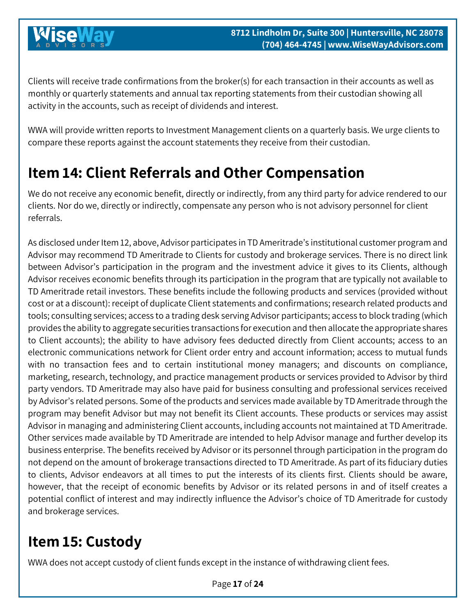Clients will receive trade confirmations from the broker(s) for each transaction in their accounts as well as monthly or quarterly statements and annual tax reporting statements from their custodian showing all activity in the accounts, such as receipt of dividends and interest.

WWA will provide written reports to Investment Management clients on a quarterly basis. We urge clients to compare these reports against the account statements they receive from their custodian.

# <span id="page-16-0"></span>**Item 14: Client Referrals and Other Compensation**

We do not receive any economic benefit, directly or indirectly, from any third party for advice rendered to our clients. Nor do we, directly or indirectly, compensate any person who is not advisory personnel for client referrals.

As disclosed under Item 12, above, Advisor participates in TD Ameritrade's institutional customer program and Advisor may recommend TD Ameritrade to Clients for custody and brokerage services. There is no direct link between Advisor's participation in the program and the investment advice it gives to its Clients, although Advisor receives economic benefits through its participation in the program that are typically not available to TD Ameritrade retail investors. These benefits include the following products and services (provided without cost or at a discount): receipt of duplicate Client statements and confirmations; research related products and tools; consulting services; access to a trading desk serving Advisor participants; access to block trading (which provides the ability to aggregate securities transactions for execution and then allocate the appropriate shares to Client accounts); the ability to have advisory fees deducted directly from Client accounts; access to an electronic communications network for Client order entry and account information; access to mutual funds with no transaction fees and to certain institutional money managers; and discounts on compliance, marketing, research, technology, and practice management products or services provided to Advisor by third party vendors. TD Ameritrade may also have paid for business consulting and professional services received by Advisor's related persons. Some of the products and services made available by TD Ameritrade through the program may benefit Advisor but may not benefit its Client accounts. These products or services may assist Advisor in managing and administering Client accounts, including accounts not maintained at TD Ameritrade. Other services made available by TD Ameritrade are intended to help Advisor manage and further develop its business enterprise. The benefits received by Advisor or its personnel through participation in the program do not depend on the amount of brokerage transactions directed to TD Ameritrade. As part of its fiduciary duties to clients, Advisor endeavors at all times to put the interests of its clients first. Clients should be aware, however, that the receipt of economic benefits by Advisor or its related persons in and of itself creates a potential conflict of interest and may indirectly influence the Advisor's choice of TD Ameritrade for custody and brokerage services.

# <span id="page-16-1"></span>**Item 15: Custody**

WWA does not accept custody of client funds except in the instance of withdrawing client fees.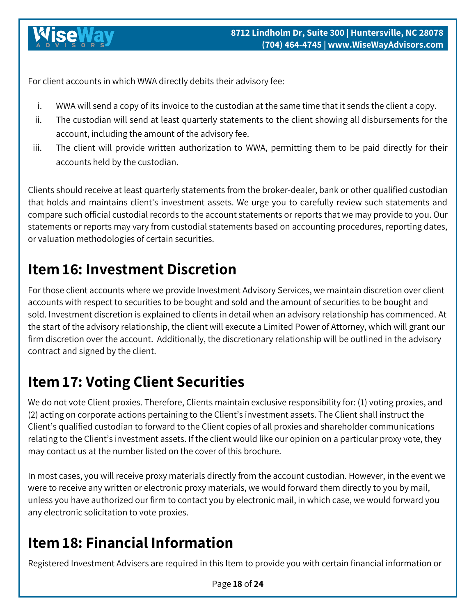For client accounts in which WWA directly debits their advisory fee:

- i. WWA will send a copy of its invoice to the custodian at the same time that it sends the client a copy.
- ii. The custodian will send at least quarterly statements to the client showing all disbursements for the account, including the amount of the advisory fee.
- iii. The client will provide written authorization to WWA, permitting them to be paid directly for their accounts held by the custodian.

Clients should receive at least quarterly statements from the broker-dealer, bank or other qualified custodian that holds and maintains client's investment assets. We urge you to carefully review such statements and compare such official custodial records to the account statements or reports that we may provide to you. Our statements or reports may vary from custodial statements based on accounting procedures, reporting dates, or valuation methodologies of certain securities.

# <span id="page-17-0"></span>**Item 16: Investment Discretion**

For those client accounts where we provide Investment Advisory Services, we maintain discretion over client accounts with respect to securities to be bought and sold and the amount of securities to be bought and sold. Investment discretion is explained to clients in detail when an advisory relationship has commenced. At the start of the advisory relationship, the client will execute a Limited Power of Attorney, which will grant our firm discretion over the account. Additionally, the discretionary relationship will be outlined in the advisory contract and signed by the client.

# <span id="page-17-1"></span>**Item 17: Voting Client Securities**

We do not vote Client proxies. Therefore, Clients maintain exclusive responsibility for: (1) voting proxies, and (2) acting on corporate actions pertaining to the Client's investment assets. The Client shall instruct the Client's qualified custodian to forward to the Client copies of all proxies and shareholder communications relating to the Client's investment assets. If the client would like our opinion on a particular proxy vote, they may contact us at the number listed on the cover of this brochure.

In most cases, you will receive proxy materials directly from the account custodian. However, in the event we were to receive any written or electronic proxy materials, we would forward them directly to you by mail, unless you have authorized our firm to contact you by electronic mail, in which case, we would forward you any electronic solicitation to vote proxies.

# <span id="page-17-2"></span>**Item 18: Financial Information**

Registered Investment Advisers are required in this Item to provide you with certain financial information or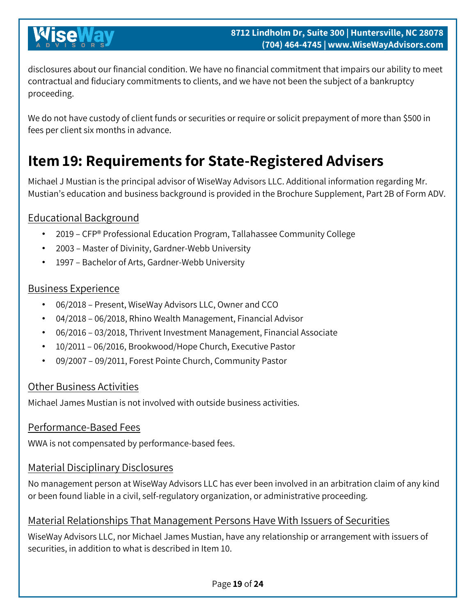disclosures about our financial condition. We have no financial commitment that impairs our ability to meet contractual and fiduciary commitments to clients, and we have not been the subject of a bankruptcy proceeding.

We do not have custody of client funds or securities or require or solicit prepayment of more than \$500 in fees per client six months in advance.

# <span id="page-18-0"></span>**Item 19: Requirements for State-Registered Advisers**

Michael J Mustian is the principal advisor of WiseWay Advisors LLC. Additional information regarding Mr. Mustian's education and business background is provided in the Brochure Supplement, Part 2B of Form ADV.

## Educational Background

- 2019 CFP® Professional Education Program, Tallahassee Community College
- 2003 Master of Divinity, Gardner-Webb University
- 1997 Bachelor of Arts, Gardner-Webb University

### Business Experience

- 06/2018 Present, WiseWay Advisors LLC, Owner and CCO
- 04/2018 06/2018, Rhino Wealth Management, Financial Advisor
- 06/2016 03/2018, Thrivent Investment Management, Financial Associate
- 10/2011 06/2016, Brookwood/Hope Church, Executive Pastor
- 09/2007 09/2011, Forest Pointe Church, Community Pastor

## Other Business Activities

Michael James Mustian is not involved with outside business activities.

### Performance-Based Fees

WWA is not compensated by performance-based fees.

### Material Disciplinary Disclosures

No management person at WiseWay Advisors LLC has ever been involved in an arbitration claim of any kind or been found liable in a civil, self-regulatory organization, or administrative proceeding.

### Material Relationships That Management Persons Have With Issuers of Securities

WiseWay Advisors LLC, nor Michael James Mustian, have any relationship or arrangement with issuers of securities, in addition to what is described in Item 10.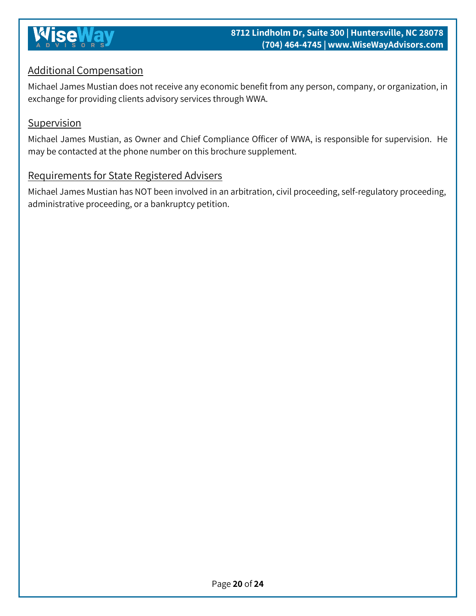

### Additional Compensation

Michael James Mustian does not receive any economic benefit from any person, company, or organization, in exchange for providing clients advisory services through WWA.

#### **Supervision**

Michael James Mustian, as Owner and Chief Compliance Officer of WWA, is responsible for supervision. He may be contacted at the phone number on this brochure supplement.

#### Requirements for State Registered Advisers

Michael James Mustian has NOT been involved in an arbitration, civil proceeding, self-regulatory proceeding, administrative proceeding, or a bankruptcy petition.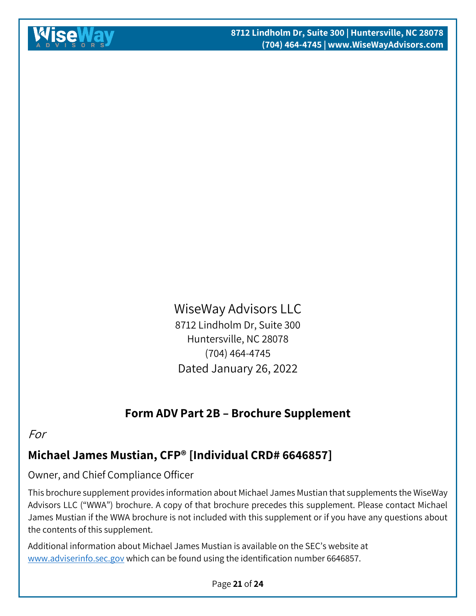# WiseWay Advisors LLC 8712 Lindholm Dr, Suite 300 Huntersville, NC 28078 (704) 464-4745 Dated January 26, 2022

# **Form ADV Part 2B – Brochure Supplement**

### <span id="page-20-0"></span>For

# **Michael James Mustian, CFP® [Individual CRD# 6646857]**

## Owner, and Chief Compliance Officer

This brochure supplement provides information about Michael James Mustian that supplements the WiseWay Advisors LLC ("WWA") brochure. A copy of that brochure precedes this supplement. Please contact Michael James Mustian if the WWA brochure is not included with this supplement or if you have any questions about the contents of this supplement.

Additional information about Michael James Mustian is available on the SEC's website at [www.adviserinfo.sec.gov](http://www.adviserinfo.sec.gov/) which can be found using the identification number 6646857.

#### Page **21** of **24**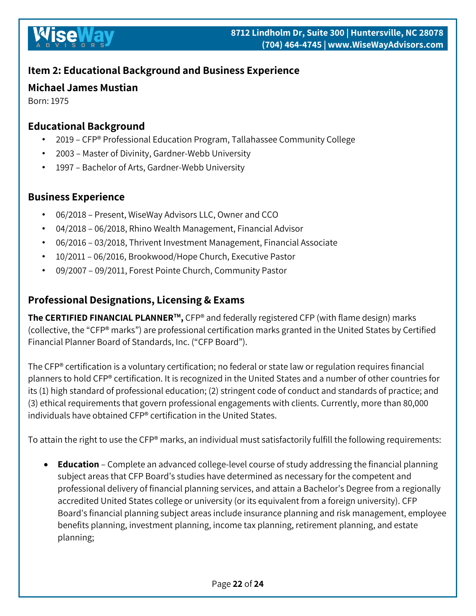## **Item 2: Educational Background and Business Experience**

### **Michael James Mustian**

Born: 1975

### **Educational Background**

- 2019 CFP® Professional Education Program, Tallahassee Community College
- 2003 Master of Divinity, Gardner-Webb University
- 1997 Bachelor of Arts, Gardner-Webb University

### **Business Experience**

- 06/2018 Present, WiseWay Advisors LLC, Owner and CCO
- 04/2018 06/2018, Rhino Wealth Management, Financial Advisor
- 06/2016 03/2018, Thrivent Investment Management, Financial Associate
- 10/2011 06/2016, Brookwood/Hope Church, Executive Pastor
- 09/2007 09/2011, Forest Pointe Church, Community Pastor

## **Professional Designations, Licensing & Exams**

**The CERTIFIED FINANCIAL PLANNER™,** CFP® and federally registered CFP (with flame design) marks (collective, the "CFP® marks") are professional certification marks granted in the United States by Certified Financial Planner Board of Standards, Inc. ("CFP Board").

The CFP® certification is a voluntary certification; no federal or state law or regulation requires financial planners to hold CFP® certification. It is recognized in the United States and a number of other countries for its (1) high standard of professional education; (2) stringent code of conduct and standards of practice; and (3) ethical requirements that govern professional engagements with clients. Currently, more than 80,000 individuals have obtained CFP® certification in the United States.

To attain the right to use the CFP® marks, an individual must satisfactorily fulfill the following requirements:

• **Education** – Complete an advanced college-level course of study addressing the financial planning subject areas that CFP Board's studies have determined as necessary for the competent and professional delivery of financial planning services, and attain a Bachelor's Degree from a regionally accredited United States college or university (or its equivalent from a foreign university). CFP Board's financial planning subject areas include insurance planning and risk management, employee benefits planning, investment planning, income tax planning, retirement planning, and estate planning;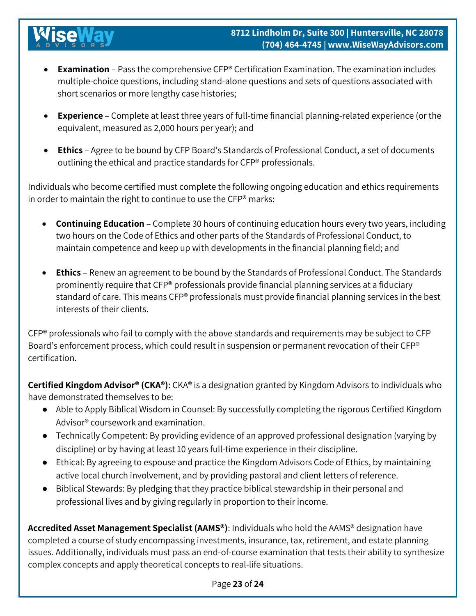- **Examination**  Pass the comprehensive CFP® Certification Examination. The examination includes multiple-choice questions, including stand-alone questions and sets of questions associated with short scenarios or more lengthy case histories;
- **Experience**  Complete at least three years of full-time financial planning-related experience (or the equivalent, measured as 2,000 hours per year); and
- **Ethics**  Agree to be bound by CFP Board's Standards of Professional Conduct, a set of documents outlining the ethical and practice standards for CFP® professionals.

Individuals who become certified must complete the following ongoing education and ethics requirements in order to maintain the right to continue to use the CFP® marks:

- **Continuing Education**  Complete 30 hours of continuing education hours every two years, including two hours on the Code of Ethics and other parts of the Standards of Professional Conduct, to maintain competence and keep up with developments in the financial planning field; and
- **Ethics**  Renew an agreement to be bound by the Standards of Professional Conduct. The Standards prominently require that CFP® professionals provide financial planning services at a fiduciary standard of care. This means CFP® professionals must provide financial planning services in the best interests of their clients.

CFP® professionals who fail to comply with the above standards and requirements may be subject to CFP Board's enforcement process, which could result in suspension or permanent revocation of their CFP® certification.

**Certified Kingdom Advisor® (CKA®)**: CKA® is a designation granted by Kingdom Advisors to individuals who have demonstrated themselves to be:

- Able to Apply Biblical Wisdom in Counsel: By successfully completing the rigorous Certified Kingdom Advisor® coursework and examination.
- Technically Competent: By providing evidence of an approved professional designation (varying by discipline) or by having at least 10 years full-time experience in their discipline.
- Ethical: By agreeing to espouse and practice the Kingdom Advisors Code of Ethics, by maintaining active local church involvement, and by providing pastoral and client letters of reference.
- Biblical Stewards: By pledging that they practice biblical stewardship in their personal and professional lives and by giving regularly in proportion to their income.

**Accredited Asset Management Specialist (AAMS®)**: Individuals who hold the AAMS® designation have completed a course of study encompassing investments, insurance, tax, retirement, and estate planning issues. Additionally, individuals must pass an end-of-course examination that tests their ability to synthesize complex concepts and apply theoretical concepts to real-life situations.

#### Page **23** of **24**